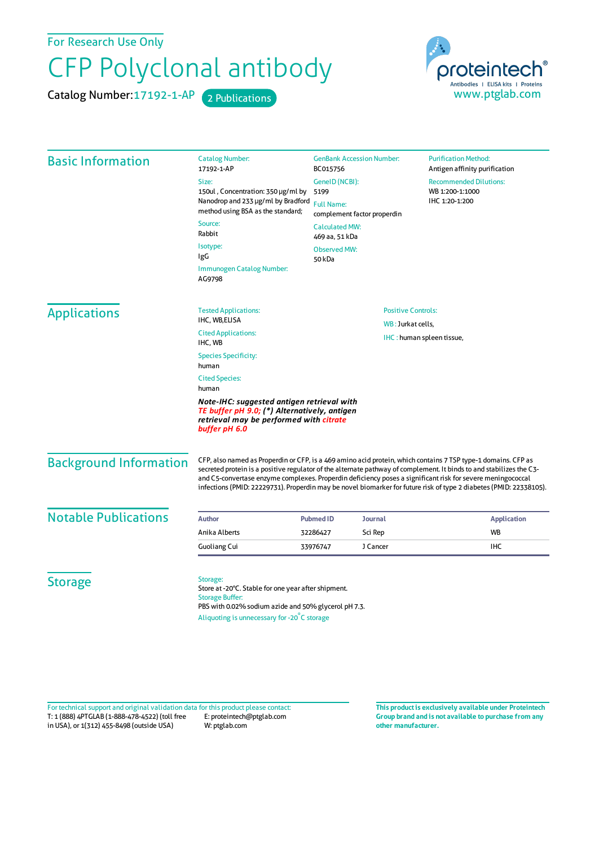For Research Use Only

## CFP Polyclonal antibody

Catalog Number: 17192-1-AP 2 Publications



| <b>Basic Information</b>    | <b>Catalog Number:</b><br>17192-1-AP                                                                                                                                                             | <b>GenBank Accession Number:</b><br>BC015756<br>GenelD (NCBI):                                                                                                                                                                                                                                                                                                                                                                                                           |                   | <b>Purification Method:</b><br>Antigen affinity purification<br><b>Recommended Dilutions:</b><br>WB 1:200-1:1000<br>IHC 1:20-1:200 |                                                                                                                                                        |
|-----------------------------|--------------------------------------------------------------------------------------------------------------------------------------------------------------------------------------------------|--------------------------------------------------------------------------------------------------------------------------------------------------------------------------------------------------------------------------------------------------------------------------------------------------------------------------------------------------------------------------------------------------------------------------------------------------------------------------|-------------------|------------------------------------------------------------------------------------------------------------------------------------|--------------------------------------------------------------------------------------------------------------------------------------------------------|
|                             | Size:                                                                                                                                                                                            |                                                                                                                                                                                                                                                                                                                                                                                                                                                                          |                   |                                                                                                                                    |                                                                                                                                                        |
|                             | 150ul, Concentration: 350 µg/ml by                                                                                                                                                               | 5199<br><b>Full Name:</b><br>complement factor properdin<br><b>Calculated MW:</b><br>469 aa, 51 kDa<br><b>Observed MW:</b>                                                                                                                                                                                                                                                                                                                                               |                   |                                                                                                                                    |                                                                                                                                                        |
|                             | Nanodrop and 233 µg/ml by Bradford<br>method using BSA as the standard;                                                                                                                          |                                                                                                                                                                                                                                                                                                                                                                                                                                                                          |                   |                                                                                                                                    |                                                                                                                                                        |
|                             | Source:<br>Rabbit                                                                                                                                                                                |                                                                                                                                                                                                                                                                                                                                                                                                                                                                          |                   |                                                                                                                                    |                                                                                                                                                        |
|                             | Isotype:<br>IgG                                                                                                                                                                                  |                                                                                                                                                                                                                                                                                                                                                                                                                                                                          |                   |                                                                                                                                    |                                                                                                                                                        |
|                             | Immunogen Catalog Number:<br>AG9798                                                                                                                                                              | 50 kDa                                                                                                                                                                                                                                                                                                                                                                                                                                                                   |                   |                                                                                                                                    |                                                                                                                                                        |
| <b>Applications</b>         | <b>Tested Applications:</b>                                                                                                                                                                      | <b>Positive Controls:</b>                                                                                                                                                                                                                                                                                                                                                                                                                                                |                   |                                                                                                                                    |                                                                                                                                                        |
|                             | IHC, WB,ELISA                                                                                                                                                                                    |                                                                                                                                                                                                                                                                                                                                                                                                                                                                          | WB: Jurkat cells, |                                                                                                                                    |                                                                                                                                                        |
|                             | <b>Cited Applications:</b><br>IHC, WB                                                                                                                                                            | IHC: human spleen tissue,                                                                                                                                                                                                                                                                                                                                                                                                                                                |                   |                                                                                                                                    |                                                                                                                                                        |
|                             | <b>Species Specificity:</b><br>human<br><b>Cited Species:</b><br>human                                                                                                                           |                                                                                                                                                                                                                                                                                                                                                                                                                                                                          |                   |                                                                                                                                    |                                                                                                                                                        |
|                             |                                                                                                                                                                                                  |                                                                                                                                                                                                                                                                                                                                                                                                                                                                          |                   |                                                                                                                                    | Note-IHC: suggested antigen retrieval with<br>TE buffer pH 9.0; (*) Alternatively, antigen<br>retrieval may be performed with citrate<br>buffer pH 6.0 |
|                             | <b>Background Information</b>                                                                                                                                                                    | CFP, also named as Properdin or CFP, is a 469 amino acid protein, which contains 7 TSP type-1 domains. CFP as<br>secreted protein is a positive regulator of the alternate pathway of complement. It binds to and stabilizes the C3-<br>and C5-convertase enzyme complexes. Properdin deficiency poses a significant risk for severe meningococcal<br>infections (PMID: 22229731). Properdin may be novel biomarker for future risk of type 2 diabetes (PMID: 22338105). |                   |                                                                                                                                    |                                                                                                                                                        |
| <b>Notable Publications</b> | <b>Author</b>                                                                                                                                                                                    | <b>Pubmed ID</b><br><b>Journal</b>                                                                                                                                                                                                                                                                                                                                                                                                                                       |                   | <b>Application</b>                                                                                                                 |                                                                                                                                                        |
|                             | Anika Alberts                                                                                                                                                                                    | 32286427<br>Sci Rep                                                                                                                                                                                                                                                                                                                                                                                                                                                      |                   | <b>WB</b>                                                                                                                          |                                                                                                                                                        |
|                             | <b>Guoliang Cui</b>                                                                                                                                                                              | J Cancer<br>33976747                                                                                                                                                                                                                                                                                                                                                                                                                                                     |                   | <b>IHC</b>                                                                                                                         |                                                                                                                                                        |
| <b>Storage</b>              | Storage:<br>Store at -20°C. Stable for one year after shipment.<br><b>Storage Buffer:</b><br>PBS with 0.02% sodium azide and 50% glycerol pH 7.3.<br>Aliquoting is unnecessary for -20°C storage |                                                                                                                                                                                                                                                                                                                                                                                                                                                                          |                   |                                                                                                                                    |                                                                                                                                                        |

T: 1 (888) 4PTGLAB (1-888-478-4522) (toll free in USA), or 1(312) 455-8498 (outside USA) E: proteintech@ptglab.com W: ptglab.com Fortechnical support and original validation data forthis product please contact: **This productis exclusively available under Proteintech**

**Group brand and is not available to purchase from any other manufacturer.**